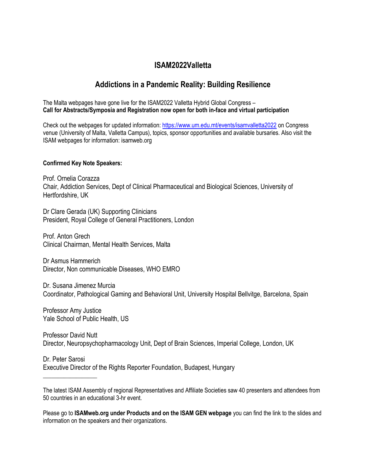## **ISAM2022Valletta**

# **Addictions in a Pandemic Reality: Building Resilience**

The Malta webpages have gone live for the ISAM2022 Valletta Hybrid Global Congress – **Call for Abstracts/Symposia and Registration now open for both in-face and virtual participation**

Check out the webpages for updated information[: https://www.um.edu.mt/events/isamvalletta2022](https://www.um.edu.mt/events/isamvalletta2022) on Congress venue (University of Malta, Valletta Campus), topics, sponsor opportunities and available bursaries. Also visit the ISAM webpages for information: isamweb.org

#### **Confirmed Key Note Speakers:**

Prof. Ornelia Corazza Chair, Addiction Services, Dept of Clinical Pharmaceutical and Biological Sciences, University of Hertfordshire, UK

Dr Clare Gerada (UK) Supporting Clinicians President, Royal College of General Practitioners, London

Prof. Anton Grech Clinical Chairman, Mental Health Services, Malta

Dr Asmus Hammerich Director, Non communicable Diseases, WHO EMRO

Dr. Susana Jimenez Murcia Coordinator, Pathological Gaming and Behavioral Unit, University Hospital Bellvitge, Barcelona, Spain

Professor Amy Justice Yale School of Public Health, US

 $\frac{1}{2}$  ,  $\frac{1}{2}$  ,  $\frac{1}{2}$  ,  $\frac{1}{2}$  ,  $\frac{1}{2}$  ,  $\frac{1}{2}$  ,  $\frac{1}{2}$  ,  $\frac{1}{2}$ 

Professor David Nutt Director, Neuropsychopharmacology Unit, Dept of Brain Sciences, Imperial College, London, UK

Dr. Peter Sarosi Executive Director of the Rights Reporter Foundation, Budapest, Hungary

Please go to **ISAMweb.org under Products and on the ISAM GEN webpage** you can find the link to the slides and information on the speakers and their organizations.

The latest ISAM Assembly of regional Representatives and Affiliate Societies saw 40 presenters and attendees from 50 countries in an educational 3-hr event.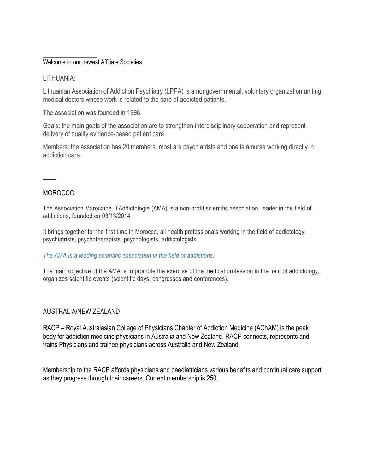#### \_\_\_\_\_\_\_\_\_\_\_\_\_\_\_\_\_\_ Welcome to our newest Affiliate Societies

#### LITHUANIA:

Lithuanian Association of Addiction Psychiatry (LPPA) is a nongovernmental, voluntary organization uniting medical doctors whose work is related to the care of addicted patients.

The association was founded in 1998.

Goals: the main goals of the association are to strengthen interdisciplinary cooperation and represent delivery of quality evidence-based patient care.

Members: the association has 20 members, most are psychiatrists and one is a nurse working directly in addiction care.

### **MOROCCO**

 $\overline{\phantom{a}}$ 

The Association Marocaine D'Addictologie (AMA) is a non-profit scientific association, leader in the field of addictions, founded on 03/13/2014

It brings together for the first time in Morocco, all health professionals working in the field of addictology: psychiatrists, psychotherapists, psychologists, addictologists.

#### *The AMA is a leading scientific association in the field of addictions.*

The main objective of the AMA is to promote the exercise of the medical profession in the field of addictology, organizes scientific events (scientific days, congresses and conferences).

 $\overline{\phantom{a}}$ 

#### AUSTRALIA/NEW ZEALAND

RACP – Royal Australasian College of Physicians Chapter of Addiction Medicine (AChAM) is the peak body for addiction medicine physicians in Australia and New Zealand. RACP connects, represents and trains Physicians and trainee physicians across Australia and New Zealand.

Membership to the RACP affords physicians and paediatricians various benefits and continual care support as they progress through their careers. Current membership is 250.